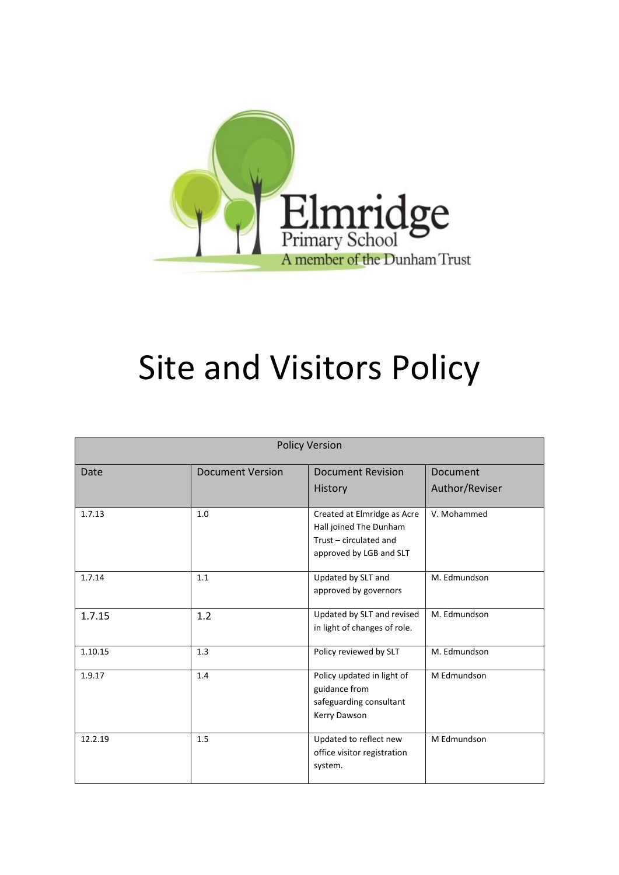

# Site and Visitors Policy

| <b>Policy Version</b> |                         |                                                                                                            |                |
|-----------------------|-------------------------|------------------------------------------------------------------------------------------------------------|----------------|
| Date                  | <b>Document Version</b> | <b>Document Revision</b>                                                                                   | Document       |
|                       |                         | History                                                                                                    | Author/Reviser |
| 1.7.13                | 1.0                     | Created at Elmridge as Acre<br>Hall joined The Dunham<br>Trust - circulated and<br>approved by LGB and SLT | V. Mohammed    |
| 1.7.14                | 1.1                     | Updated by SLT and<br>approved by governors                                                                | M. Edmundson   |
| 1.7.15                | 1.2                     | Updated by SLT and revised<br>in light of changes of role.                                                 | M. Edmundson   |
| 1.10.15               | 1.3                     | Policy reviewed by SLT                                                                                     | M. Edmundson   |
| 1.9.17                | 1.4                     | Policy updated in light of<br>guidance from<br>safeguarding consultant<br>Kerry Dawson                     | M Edmundson    |
| 12.2.19               | 1.5                     | Updated to reflect new<br>office visitor registration<br>system.                                           | M Edmundson    |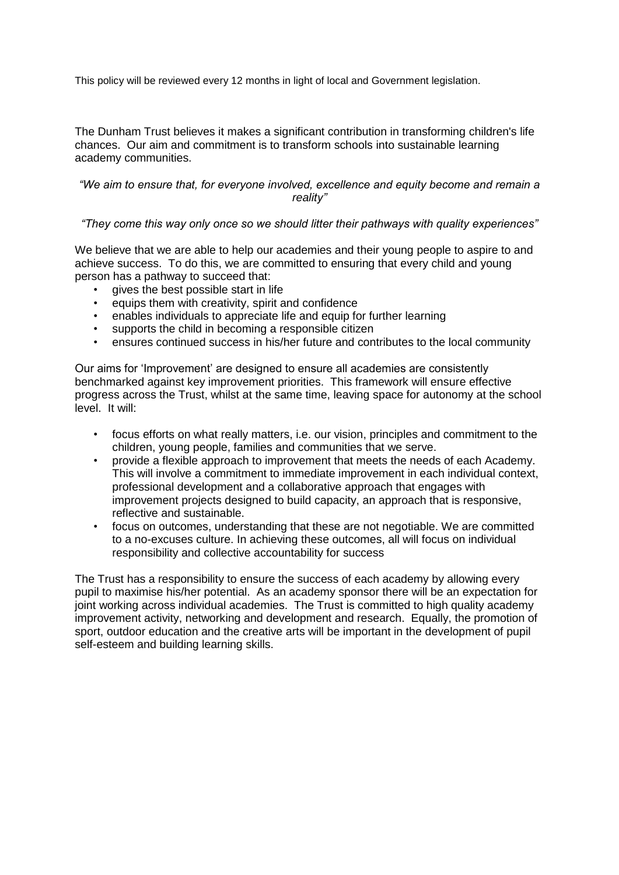This policy will be reviewed every 12 months in light of local and Government legislation.

The Dunham Trust believes it makes a significant contribution in transforming children's life chances. Our aim and commitment is to transform schools into sustainable learning academy communities.

# *"We aim to ensure that, for everyone involved, excellence and equity become and remain a reality"*

# *"They come this way only once so we should litter their pathways with quality experiences"*

We believe that we are able to help our academies and their young people to aspire to and achieve success. To do this, we are committed to ensuring that every child and young person has a pathway to succeed that:

- gives the best possible start in life
- equips them with creativity, spirit and confidence
- enables individuals to appreciate life and equip for further learning
- supports the child in becoming a responsible citizen
- ensures continued success in his/her future and contributes to the local community

Our aims for 'Improvement' are designed to ensure all academies are consistently benchmarked against key improvement priorities. This framework will ensure effective progress across the Trust, whilst at the same time, leaving space for autonomy at the school level. It will:

- focus efforts on what really matters, i.e. our vision, principles and commitment to the children, young people, families and communities that we serve.
- provide a flexible approach to improvement that meets the needs of each Academy. This will involve a commitment to immediate improvement in each individual context, professional development and a collaborative approach that engages with improvement projects designed to build capacity, an approach that is responsive, reflective and sustainable.
- focus on outcomes, understanding that these are not negotiable. We are committed to a no-excuses culture. In achieving these outcomes, all will focus on individual responsibility and collective accountability for success

The Trust has a responsibility to ensure the success of each academy by allowing every pupil to maximise his/her potential. As an academy sponsor there will be an expectation for joint working across individual academies. The Trust is committed to high quality academy improvement activity, networking and development and research. Equally, the promotion of sport, outdoor education and the creative arts will be important in the development of pupil self-esteem and building learning skills.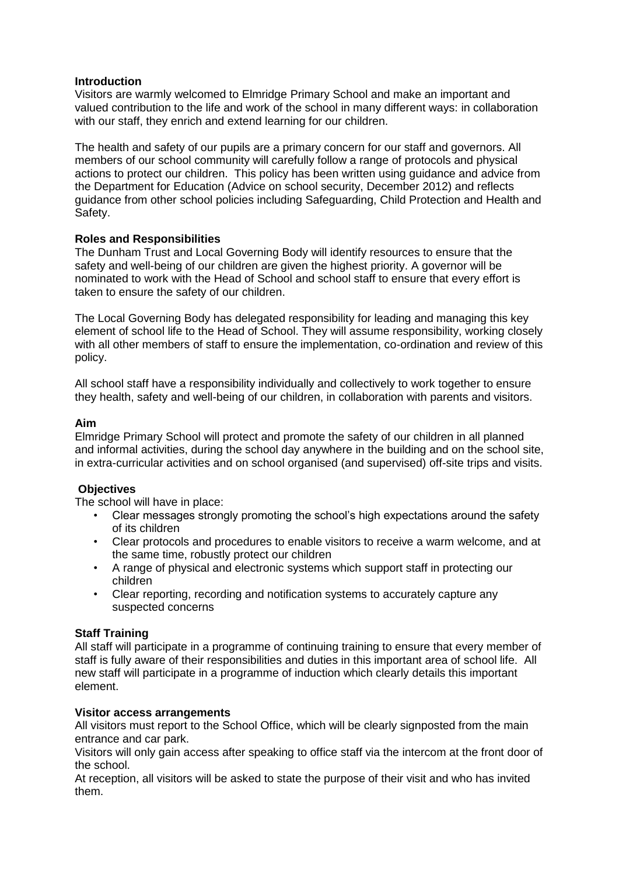#### **Introduction**

Visitors are warmly welcomed to Elmridge Primary School and make an important and valued contribution to the life and work of the school in many different ways: in collaboration with our staff, they enrich and extend learning for our children.

The health and safety of our pupils are a primary concern for our staff and governors. All members of our school community will carefully follow a range of protocols and physical actions to protect our children. This policy has been written using guidance and advice from the Department for Education (Advice on school security, December 2012) and reflects guidance from other school policies including Safeguarding, Child Protection and Health and Safety.

# **Roles and Responsibilities**

The Dunham Trust and Local Governing Body will identify resources to ensure that the safety and well-being of our children are given the highest priority. A governor will be nominated to work with the Head of School and school staff to ensure that every effort is taken to ensure the safety of our children.

The Local Governing Body has delegated responsibility for leading and managing this key element of school life to the Head of School. They will assume responsibility, working closely with all other members of staff to ensure the implementation, co-ordination and review of this policy.

All school staff have a responsibility individually and collectively to work together to ensure they health, safety and well-being of our children, in collaboration with parents and visitors.

#### **Aim**

Elmridge Primary School will protect and promote the safety of our children in all planned and informal activities, during the school day anywhere in the building and on the school site, in extra-curricular activities and on school organised (and supervised) off-site trips and visits.

# **Objectives**

The school will have in place:

- Clear messages strongly promoting the school's high expectations around the safety of its children
- Clear protocols and procedures to enable visitors to receive a warm welcome, and at the same time, robustly protect our children
- A range of physical and electronic systems which support staff in protecting our children
- Clear reporting, recording and notification systems to accurately capture any suspected concerns

# **Staff Training**

All staff will participate in a programme of continuing training to ensure that every member of staff is fully aware of their responsibilities and duties in this important area of school life. All new staff will participate in a programme of induction which clearly details this important element.

#### **Visitor access arrangements**

All visitors must report to the School Office, which will be clearly signposted from the main entrance and car park.

Visitors will only gain access after speaking to office staff via the intercom at the front door of the school.

At reception, all visitors will be asked to state the purpose of their visit and who has invited them.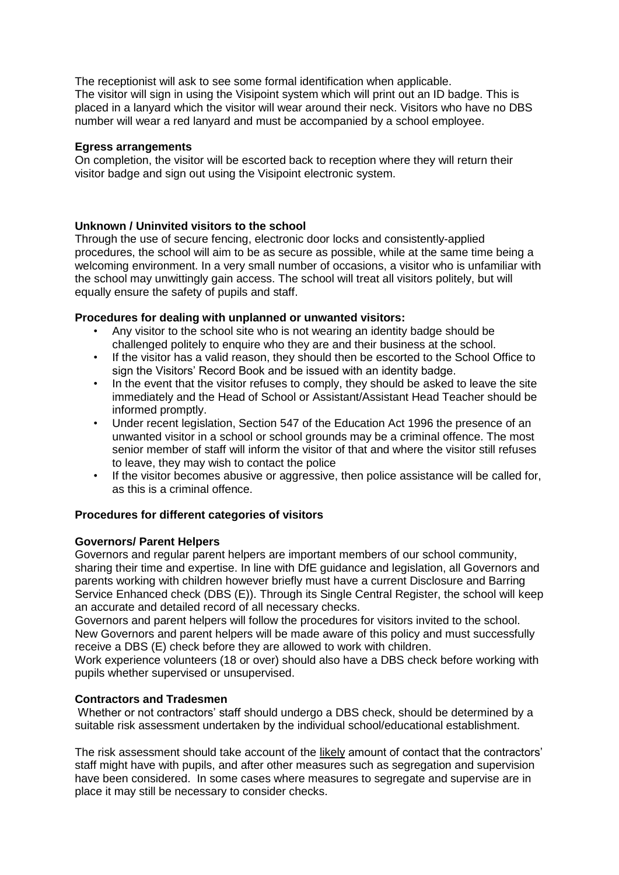The receptionist will ask to see some formal identification when applicable. The visitor will sign in using the Visipoint system which will print out an ID badge. This is placed in a lanyard which the visitor will wear around their neck. Visitors who have no DBS number will wear a red lanyard and must be accompanied by a school employee.

#### **Egress arrangements**

On completion, the visitor will be escorted back to reception where they will return their visitor badge and sign out using the Visipoint electronic system.

# **Unknown / Uninvited visitors to the school**

Through the use of secure fencing, electronic door locks and consistently-applied procedures, the school will aim to be as secure as possible, while at the same time being a welcoming environment. In a very small number of occasions, a visitor who is unfamiliar with the school may unwittingly gain access. The school will treat all visitors politely, but will equally ensure the safety of pupils and staff.

# **Procedures for dealing with unplanned or unwanted visitors:**

- Any visitor to the school site who is not wearing an identity badge should be challenged politely to enquire who they are and their business at the school.
- If the visitor has a valid reason, they should then be escorted to the School Office to sign the Visitors' Record Book and be issued with an identity badge.
- In the event that the visitor refuses to comply, they should be asked to leave the site immediately and the Head of School or Assistant/Assistant Head Teacher should be informed promptly.
- Under recent legislation, Section 547 of the Education Act 1996 the presence of an unwanted visitor in a school or school grounds may be a criminal offence. The most senior member of staff will inform the visitor of that and where the visitor still refuses to leave, they may wish to contact the police
- If the visitor becomes abusive or aggressive, then police assistance will be called for, as this is a criminal offence.

# **Procedures for different categories of visitors**

# **Governors/ Parent Helpers**

Governors and regular parent helpers are important members of our school community, sharing their time and expertise. In line with DfE guidance and legislation, all Governors and parents working with children however briefly must have a current Disclosure and Barring Service Enhanced check (DBS (E)). Through its Single Central Register, the school will keep an accurate and detailed record of all necessary checks.

Governors and parent helpers will follow the procedures for visitors invited to the school. New Governors and parent helpers will be made aware of this policy and must successfully receive a DBS (E) check before they are allowed to work with children.

Work experience volunteers (18 or over) should also have a DBS check before working with pupils whether supervised or unsupervised.

# **Contractors and Tradesmen**

Whether or not contractors' staff should undergo a DBS check, should be determined by a suitable risk assessment undertaken by the individual school/educational establishment.

The risk assessment should take account of the likely amount of contact that the contractors' staff might have with pupils, and after other measures such as segregation and supervision have been considered. In some cases where measures to segregate and supervise are in place it may still be necessary to consider checks.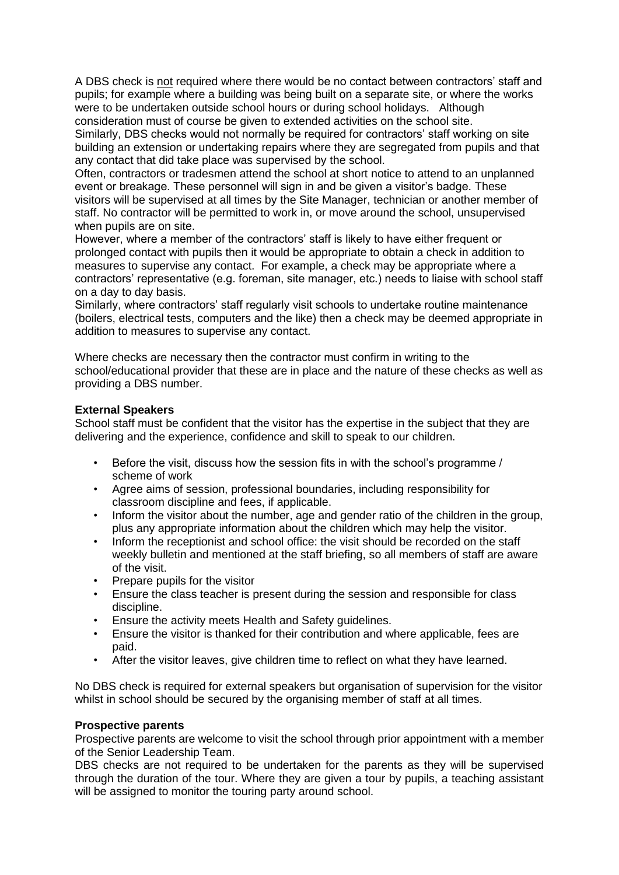A DBS check is not required where there would be no contact between contractors' staff and pupils; for example where a building was being built on a separate site, or where the works were to be undertaken outside school hours or during school holidays. Although consideration must of course be given to extended activities on the school site.

Similarly, DBS checks would not normally be required for contractors' staff working on site building an extension or undertaking repairs where they are segregated from pupils and that any contact that did take place was supervised by the school.

Often, contractors or tradesmen attend the school at short notice to attend to an unplanned event or breakage. These personnel will sign in and be given a visitor's badge. These visitors will be supervised at all times by the Site Manager, technician or another member of staff. No contractor will be permitted to work in, or move around the school, unsupervised when pupils are on site.

However, where a member of the contractors' staff is likely to have either frequent or prolonged contact with pupils then it would be appropriate to obtain a check in addition to measures to supervise any contact. For example, a check may be appropriate where a contractors' representative (e.g. foreman, site manager, etc.) needs to liaise with school staff on a day to day basis.

Similarly, where contractors' staff regularly visit schools to undertake routine maintenance (boilers, electrical tests, computers and the like) then a check may be deemed appropriate in addition to measures to supervise any contact.

Where checks are necessary then the contractor must confirm in writing to the school/educational provider that these are in place and the nature of these checks as well as providing a DBS number.

#### **External Speakers**

School staff must be confident that the visitor has the expertise in the subject that they are delivering and the experience, confidence and skill to speak to our children.

- Before the visit, discuss how the session fits in with the school's programme / scheme of work
- Agree aims of session, professional boundaries, including responsibility for classroom discipline and fees, if applicable.
- Inform the visitor about the number, age and gender ratio of the children in the group, plus any appropriate information about the children which may help the visitor.
- Inform the receptionist and school office: the visit should be recorded on the staff weekly bulletin and mentioned at the staff briefing, so all members of staff are aware of the visit.
- Prepare pupils for the visitor
- Ensure the class teacher is present during the session and responsible for class discipline.
- Ensure the activity meets Health and Safety guidelines.
- Ensure the visitor is thanked for their contribution and where applicable, fees are paid.
- After the visitor leaves, give children time to reflect on what they have learned.

No DBS check is required for external speakers but organisation of supervision for the visitor whilst in school should be secured by the organising member of staff at all times.

#### **Prospective parents**

Prospective parents are welcome to visit the school through prior appointment with a member of the Senior Leadership Team.

DBS checks are not required to be undertaken for the parents as they will be supervised through the duration of the tour. Where they are given a tour by pupils, a teaching assistant will be assigned to monitor the touring party around school.